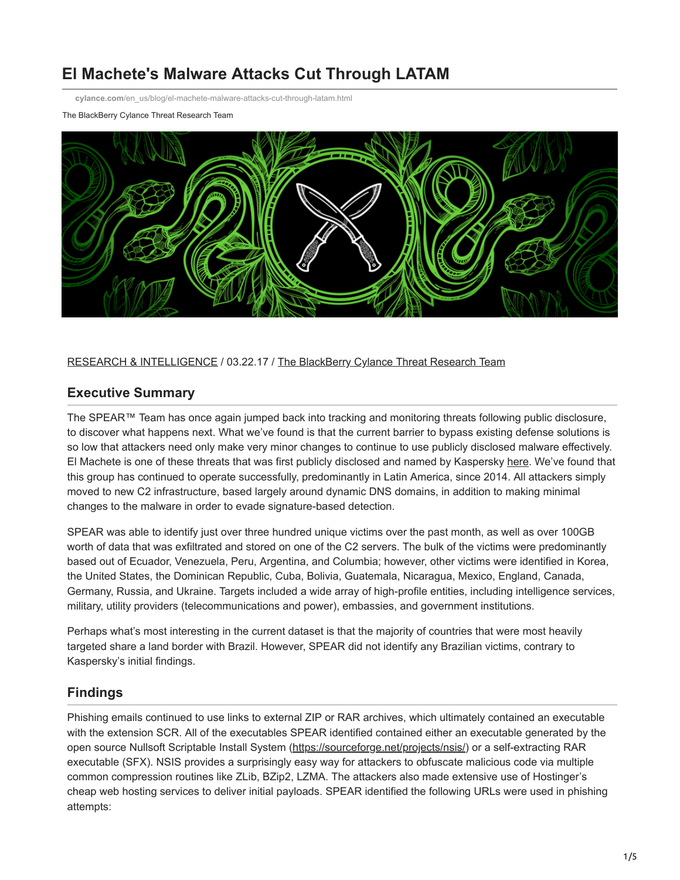# **El Machete's Malware Attacks Cut Through LATAM**

**cylance.com**[/en\\_us/blog/el-machete-malware-attacks-cut-through-latam.html](https://www.cylance.com/en_us/blog/el-machete-malware-attacks-cut-through-latam.html)

The BlackBerry Cylance Threat Research Team



[RESEARCH & INTELLIGENCE](https://www.cylance.com/en/category/research-and-intelligence) / 03.22.17 / [The BlackBerry Cylance Threat Research Team](https://www.cylance.com/en/author/the-cylance-threat-research-team)

### **Executive Summary**

The SPEAR™ Team has once again jumped back into tracking and monitoring threats following public disclosure, to discover what happens next. What we've found is that the current barrier to bypass existing defense solutions is so low that attackers need only make very minor changes to continue to use publicly disclosed malware effectively. El Machete is one of these threats that was first publicly disclosed and named by Kaspersky [here](https://securelist.com/blog/research/66108/el-machete/). We've found that this group has continued to operate successfully, predominantly in Latin America, since 2014. All attackers simply moved to new C2 infrastructure, based largely around dynamic DNS domains, in addition to making minimal changes to the malware in order to evade signature-based detection.

SPEAR was able to identify just over three hundred unique victims over the past month, as well as over 100GB worth of data that was exfiltrated and stored on one of the C2 servers. The bulk of the victims were predominantly based out of Ecuador, Venezuela, Peru, Argentina, and Columbia; however, other victims were identified in Korea, the United States, the Dominican Republic, Cuba, Bolivia, Guatemala, Nicaragua, Mexico, England, Canada, Germany, Russia, and Ukraine. Targets included a wide array of high-profile entities, including intelligence services, military, utility providers (telecommunications and power), embassies, and government institutions.

Perhaps what's most interesting in the current dataset is that the majority of countries that were most heavily targeted share a land border with Brazil. However, SPEAR did not identify any Brazilian victims, contrary to Kaspersky's initial findings.

# **Findings**

Phishing emails continued to use links to external ZIP or RAR archives, which ultimately contained an executable with the extension SCR. All of the executables SPEAR identified contained either an executable generated by the open source Nullsoft Scriptable Install System (<https://sourceforge.net/projects/nsis/>) or a self-extracting RAR executable (SFX). NSIS provides a surprisingly easy way for attackers to obfuscate malicious code via multiple common compression routines like ZLib, BZip2, LZMA. The attackers also made extensive use of Hostinger's cheap web hosting services to deliver initial payloads. SPEAR identified the following URLs were used in phishing attempts: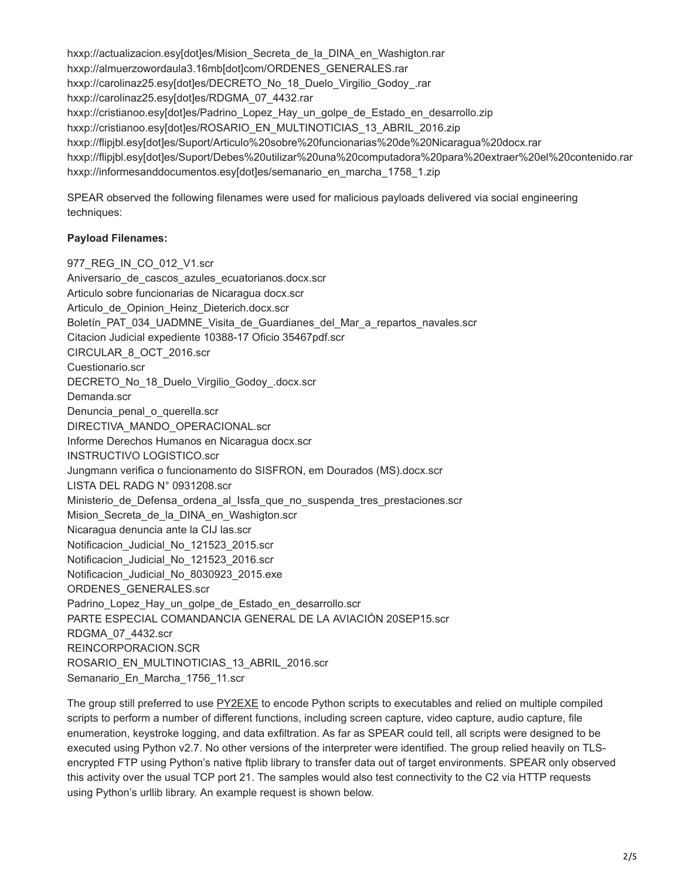hxxp://actualizacion.esy[dot]es/Mision\_Secreta\_de\_la\_DINA\_en\_Washigton.rar hxxp://almuerzowordaula3.16mb[dot]com/ORDENES\_GENERALES.rar hxxp://carolinaz25.esy[dot]es/DECRETO\_No\_18\_Duelo\_Virgilio\_Godoy\_.rar hxxp://carolinaz25.esy[dot]es/RDGMA\_07\_4432.rar hxxp://cristianoo.esy[dot]es/Padrino\_Lopez\_Hay\_un\_golpe\_de\_Estado\_en\_desarrollo.zip hxxp://cristianoo.esy[dot]es/ROSARIO\_EN\_MULTINOTICIAS\_13\_ABRIL\_2016.zip hxxp://flipjbl.esy[dot]es/Suport/Articulo%20sobre%20funcionarias%20de%20Nicaragua%20docx.rar hxxp://flipjbl.esy[dot]es/Suport/Debes%20utilizar%20una%20computadora%20para%20extraer%20el%20contenido.rar hxxp://informesanddocumentos.esy[dot]es/semanario\_en\_marcha\_1758\_1.zip

SPEAR observed the following filenames were used for malicious payloads delivered via social engineering techniques:

#### **Payload Filenames:**

977\_REG\_IN\_CO\_012\_V1.scr Aniversario de cascos azules ecuatorianos.docx.scr Articulo sobre funcionarias de Nicaragua docx.scr Articulo de Opinion Heinz Dieterich.docx.scr Boletín\_PAT\_034\_UADMNE\_Visita\_de\_Guardianes\_del\_Mar\_a\_repartos\_navales.scr Citacion Judicial expediente 10388-17 Oficio 35467pdf.scr CIRCULAR\_8\_OCT\_2016.scr Cuestionario.scr DECRETO\_No\_18\_Duelo\_Virgilio\_Godoy\_.docx.scr Demanda.scr Denuncia penal o querella.scr DIRECTIVA\_MANDO\_OPERACIONAL.scr Informe Derechos Humanos en Nicaragua docx.scr INSTRUCTIVO LOGISTICO.scr Jungmann verifica o funcionamento do SISFRON, em Dourados (MS).docx.scr LISTA DEL RADG N° 0931208.scr Ministerio\_de\_Defensa\_ordena\_al\_Issfa\_que\_no\_suspenda\_tres\_prestaciones.scr Mision Secreta de la DINA en Washigton.scr Nicaragua denuncia ante la CIJ las.scr Notificacion Judicial No 121523 2015.scr Notificacion Judicial No 121523 2016.scr Notificacion Judicial No 8030923 2015.exe ORDENES\_GENERALES.scr Padrino Lopez Hay un golpe de Estado en desarrollo.scr PARTE ESPECIAL COMANDANCIA GENERAL DE LA AVIACIÓN 20SEP15.scr RDGMA\_07\_4432.scr REINCORPORACION.SCR ROSARIO\_EN\_MULTINOTICIAS\_13\_ABRIL\_2016.scr Semanario\_En\_Marcha\_1756\_11.scr

The group still preferred to use [PY2EXE](http://www.py2exe.org/) to encode Python scripts to executables and relied on multiple compiled scripts to perform a number of different functions, including screen capture, video capture, audio capture, file enumeration, keystroke logging, and data exfiltration. As far as SPEAR could tell, all scripts were designed to be executed using Python v2.7. No other versions of the interpreter were identified. The group relied heavily on TLSencrypted FTP using Python's native ftplib library to transfer data out of target environments. SPEAR only observed this activity over the usual TCP port 21. The samples would also test connectivity to the C2 via HTTP requests using Python's urllib library. An example request is shown below.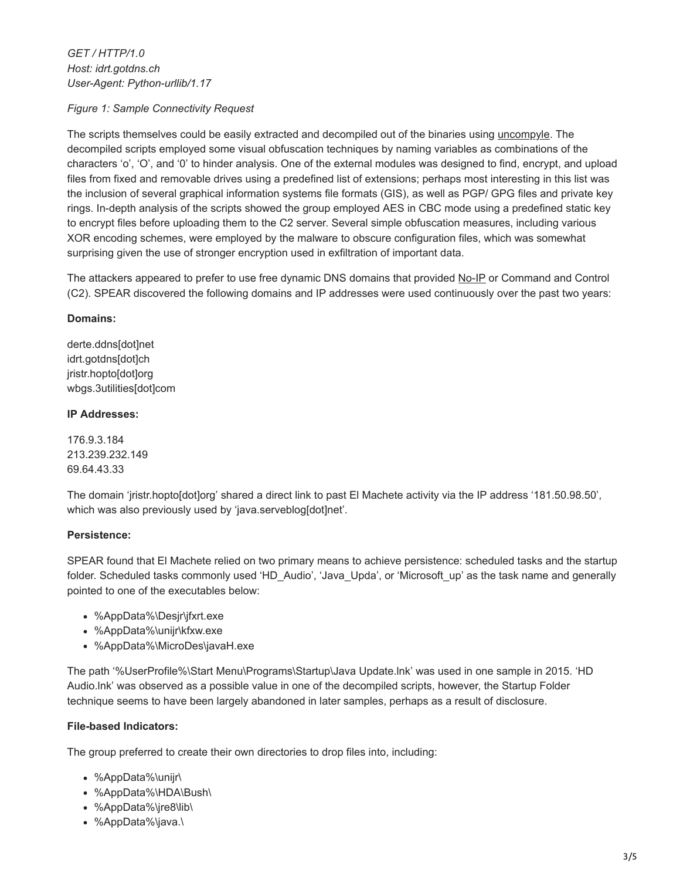*GET / HTTP/1.0 Host: idrt.gotdns.ch User-Agent: Python-urllib/1.17*

*Figure 1: Sample Connectivity Request*

The scripts themselves could be easily extracted and decompiled out of the binaries using [uncompyle](https://github.com/wibiti/uncompyle2). The decompiled scripts employed some visual obfuscation techniques by naming variables as combinations of the characters 'o', 'O', and '0' to hinder analysis. One of the external modules was designed to find, encrypt, and upload files from fixed and removable drives using a predefined list of extensions; perhaps most interesting in this list was the inclusion of several graphical information systems file formats (GIS), as well as PGP/ GPG files and private key rings. In-depth analysis of the scripts showed the group employed AES in CBC mode using a predefined static key to encrypt files before uploading them to the C2 server. Several simple obfuscation measures, including various XOR encoding schemes, were employed by the malware to obscure configuration files, which was somewhat surprising given the use of stronger encryption used in exfiltration of important data.

The attackers appeared to prefer to use free dynamic DNS domains that provided [No-IP](https://www.noip.com/) or Command and Control (C2). SPEAR discovered the following domains and IP addresses were used continuously over the past two years:

### **Domains:**

derte.ddns[dot]net idrt.gotdns[dot]ch jristr.hopto[dot]org wbgs.3utilities[dot]com

### **IP Addresses:**

176.9.3.184 213.239.232.149 69.64.43.33

The domain 'jristr.hopto[dot]org' shared a direct link to past El Machete activity via the IP address '181.50.98.50', which was also previously used by 'java.serveblog[dot]net'.

### **Persistence:**

SPEAR found that El Machete relied on two primary means to achieve persistence: scheduled tasks and the startup folder. Scheduled tasks commonly used 'HD\_Audio', 'Java\_Upda', or 'Microsoft\_up' as the task name and generally pointed to one of the executables below:

- %AppData%\Desjr\jfxrt.exe
- %AppData%\unijr\kfxw.exe
- %AppData%\MicroDes\javaH.exe

The path '%UserProfile%\Start Menu\Programs\Startup\Java Update.lnk' was used in one sample in 2015. 'HD Audio.lnk' was observed as a possible value in one of the decompiled scripts, however, the Startup Folder technique seems to have been largely abandoned in later samples, perhaps as a result of disclosure.

### **File-based Indicators:**

The group preferred to create their own directories to drop files into, including:

- %AppData%\unijr\
- %AppData%\HDA\Bush\
- %AppData%\jre8\lib\
- %AppData%\java.\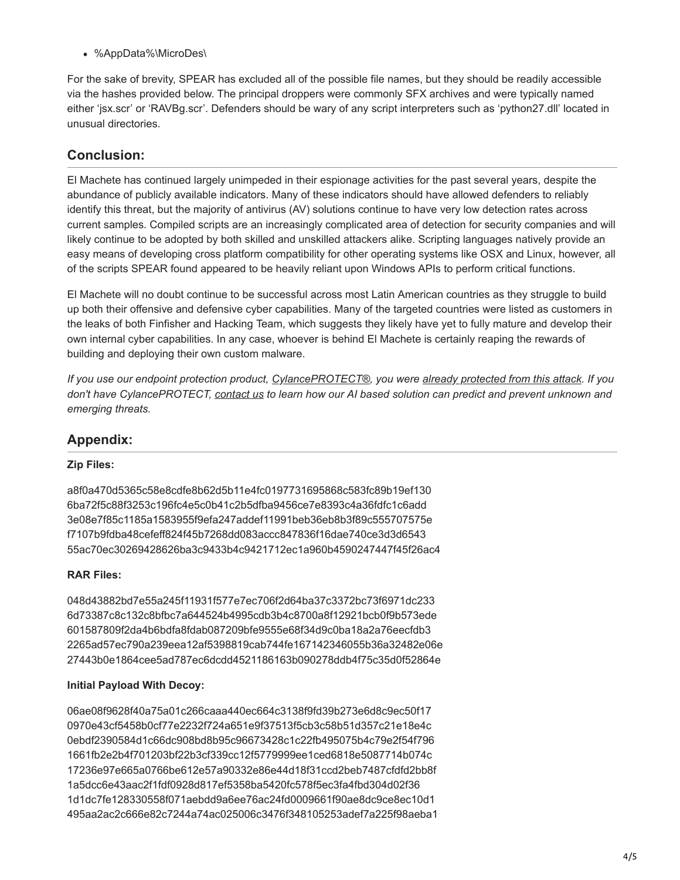%AppData%\MicroDes\

For the sake of brevity, SPEAR has excluded all of the possible file names, but they should be readily accessible via the hashes provided below. The principal droppers were commonly SFX archives and were typically named either 'jsx.scr' or 'RAVBg.scr'. Defenders should be wary of any script interpreters such as 'python27.dll' located in unusual directories.

# **Conclusion:**

El Machete has continued largely unimpeded in their espionage activities for the past several years, despite the abundance of publicly available indicators. Many of these indicators should have allowed defenders to reliably identify this threat, but the majority of antivirus (AV) solutions continue to have very low detection rates across current samples. Compiled scripts are an increasingly complicated area of detection for security companies and will likely continue to be adopted by both skilled and unskilled attackers alike. Scripting languages natively provide an easy means of developing cross platform compatibility for other operating systems like OSX and Linux, however, all of the scripts SPEAR found appeared to be heavily reliant upon Windows APIs to perform critical functions.

El Machete will no doubt continue to be successful across most Latin American countries as they struggle to build up both their offensive and defensive cyber capabilities. Many of the targeted countries were listed as customers in the leaks of both Finfisher and Hacking Team, which suggests they likely have yet to fully mature and develop their own internal cyber capabilities. In any case, whoever is behind El Machete is certainly reaping the rewards of building and deploying their own custom malware.

*If you use our endpoint protection product, [CylancePROTECT®](https://www.cylance.com/en_us/products/our-products/protect.html), you were [already protected from this attack.](https://threatvector.cylance.com/en_us/home/defending-against-el-machetes-malware-attacks.html) If you don't have CylancePROTECT, [contact us](https://www.cylance.com/en_us/contact-us.html) to learn how our AI based solution can predict and prevent unknown and emerging threats.*

## **Appendix:**

### **Zip Files:**

a8f0a470d5365c58e8cdfe8b62d5b11e4fc0197731695868c583fc89b19ef130 6ba72f5c88f3253c196fc4e5c0b41c2b5dfba9456ce7e8393c4a36fdfc1c6add 3e08e7f85c1185a1583955f9efa247addef11991beb36eb8b3f89c555707575e f7107b9fdba48cefeff824f45b7268dd083accc847836f16dae740ce3d3d6543 55ac70ec30269428626ba3c9433b4c9421712ec1a960b4590247447f45f26ac4

### **RAR Files:**

048d43882bd7e55a245f11931f577e7ec706f2d64ba37c3372bc73f6971dc233 6d73387c8c132c8bfbc7a644524b4995cdb3b4c8700a8f12921bcb0f9b573ede 601587809f2da4b6bdfa8fdab087209bfe9555e68f34d9c0ba18a2a76eecfdb3 2265ad57ec790a239eea12af5398819cab744fe167142346055b36a32482e06e 27443b0e1864cee5ad787ec6dcdd4521186163b090278ddb4f75c35d0f52864e

### **Initial Payload With Decoy:**

06ae08f9628f40a75a01c266caaa440ec664c3138f9fd39b273e6d8c9ec50f17 0970e43cf5458b0cf77e2232f724a651e9f37513f5cb3c58b51d357c21e18e4c 0ebdf2390584d1c66dc908bd8b95c96673428c1c22fb495075b4c79e2f54f796 1661fb2e2b4f701203bf22b3cf339cc12f5779999ee1ced6818e5087714b074c 17236e97e665a0766be612e57a90332e86e44d18f31ccd2beb7487cfdfd2bb8f 1a5dcc6e43aac2f1fdf0928d817ef5358ba5420fc578f5ec3fa4fbd304d02f36 1d1dc7fe128330558f071aebdd9a6ee76ac24fd0009661f90ae8dc9ce8ec10d1 495aa2ac2c666e82c7244a74ac025006c3476f348105253adef7a225f98aeba1